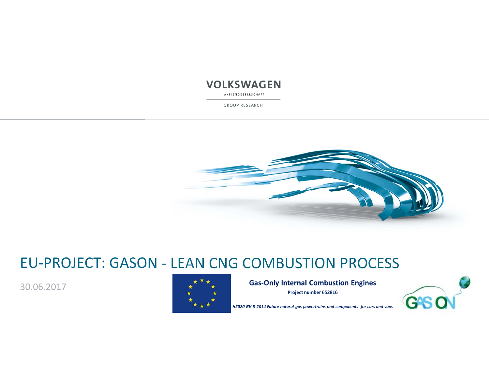AKTIENGESELLSCHAFT

GROUP RESEARCH



## EU‐PROJECT: GASON ‐ LEAN CNG COMBUSTION PROCESS

30.06.2017



**Gas-Only Internal Combustion Engines** Project number 652816



H2020 GV-3-2014 Future natural gas powertrains and components for cars and vans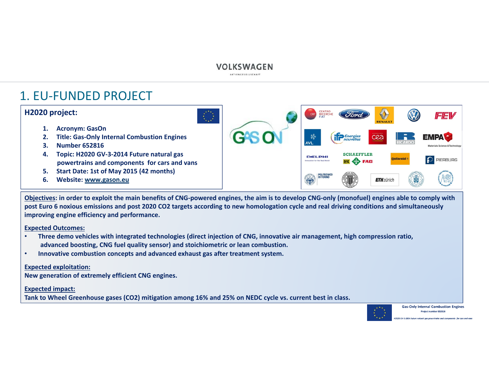AKTIENGESELLSCHAFT

### 1. EU‐FUNDED PROJECT

#### **H2020 project:**

- **1. Acronym: GasOn**
- **2. Title: Gas‐Only Internal Combustion Engines**
- **3. Number 652816**
- **4. Topic: H2020 GV‐3‐2014 Future natural gas powertrains and components for cars and vans**
- **5. Start Date: 1st of May 2015 (42 months)**
- **6. Website: www.gason.eu**

**CENTRO**<br>RICERCHE CRF FEV **if** *Energies* **SCHAEFFLER DELPHI PIERBURG UK OF FAG** POLITECNICO **ETH** zürich

**Objectives: in order to exploit the main benefits of CNG‐powered engines, the aim is to develop CNG‐only (monofuel) engines able to comply with post Euro 6 noxious emissions and post 2020 CO2 targets according to new homologation cycle and real driving conditions and simultaneously improving engine efficiency and performance.**

**Expected Outcomes:**

- • **Three demo vehicles with integrated technologies (direct injection of CNG, innovative air management, high compression ratio, advanced boosting, CNG fuel quality sensor) and stoichiometric or lean combustion.**
- •**Innovative combustion concepts and advanced exhaust gas after treatment system.**

#### **Expected exploitation:**

**New generation of extremely efficient CNG engines.**

#### **Expected impact:**

**Tank to Wheel Greenhouse gases (CO2) mitigation among 16% and 25% on NEDC cycle vs. current best in class.**



**Gas-Only Internal Combustion Engines** Project number 652816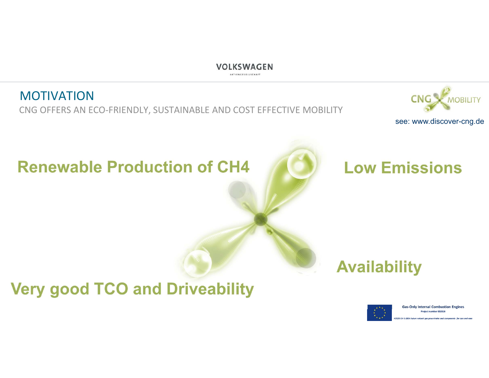AKTIENGESELLSCHAFT

### **MOTIVATION** CNG OFFERS AN ECO-FRIENDLY, SUSTAINABLE AND COST EFFECTIVE MOBILITY



see: www.discover-cng.de

# **Renewable Production of CH4**



# **Availability**

**Very good TCO and Driveability** 



**Gas-Only Internal Combustion Engines** Project number 652816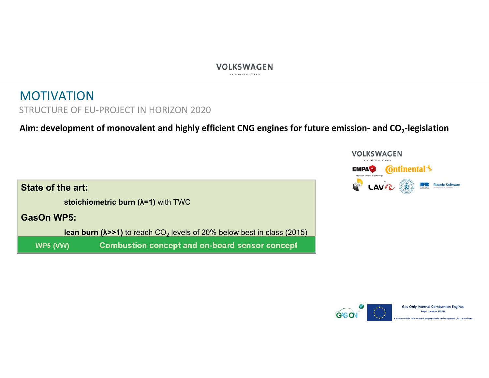### MOTIVATION STRUCTURE OF EU‐PROJECT IN HORIZON 2020

Aim: development of monovalent and highly efficient CNG engines for future emission- and  $CO_2$ -legislation





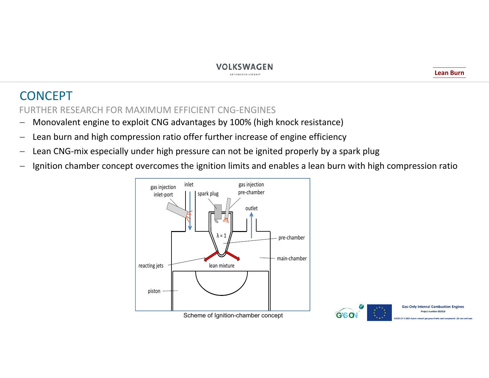### CONCEPT

FURTHER RESEARCH FOR MAXIMUM EFFICIENT CNG‐ENGINES

- Monovalent engine to exploit CNG advantages by 100% (high knock resistance)
- $\overline{\phantom{m}}$ Lean burn and high compression ratio offer further increase of engine efficiency
- $\overline{\phantom{m}}$ Lean CNG‐mix especially under high pressure can not be ignited properly by a spark plug
- $\overline{\phantom{0}}$ Ignition chamber concept overcomes the ignition limits and enables a lean burn with high compression ratio



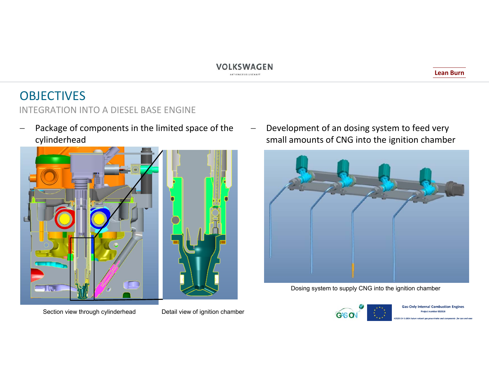#### **Lean Burn**

### OBJECTIVES INTEGRATION INTO A DIESEL BASE ENGINE

 Package of components in the limited space of the cylinderhead



 $\equiv$  Development of an dosing system to feed very small amounts of CNG into the ignition chamber



Dosing system to supply CNG into the ignition chamber



**Gas-Only Internal Combustion Engines** Project number 652816

Section view through cylinderhead Detail view of ignition chamber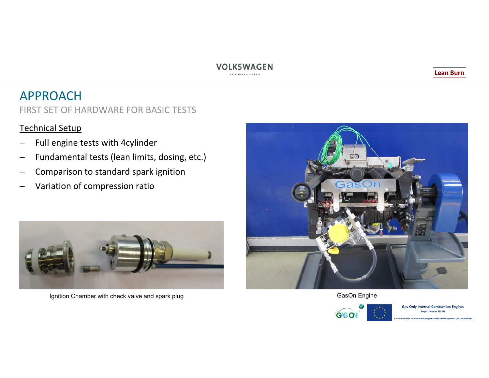AKTIENGESELLSCHAFT

### APPROACH

FIRST SET OF HARDWARE FOR BASIC TESTS

#### Technical Setup

- Full engine tests with 4cylinder
- Fundamental tests (lean limits, dosing, etc.)
- $\overline{\phantom{0}}$ Comparison to standard spark ignition
- $\overline{\phantom{0}}$ Variation of compression ratio



Ignition Chamber with check valve and spark plug Gas Chamber with check valve and spark plug GasOn Engine





**Gas-Only Internal Combustion Engines** roiect number 652816

**Lean Burn**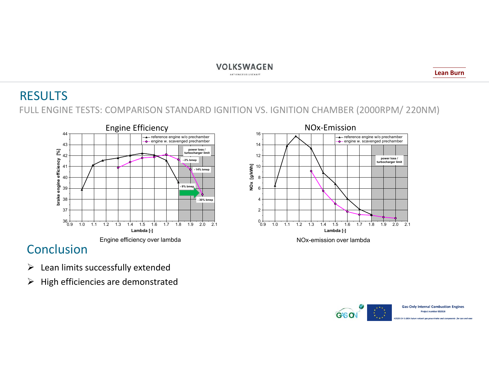### RESULTS FULL ENGINE TESTS: COMPARISON STANDARD IGNITION VS. IGNITION CHAMBER (2000RPM/ 220NM)



### Conclusion

- $\triangleright$  Lean limits successfully extended
- $\triangleright$  High efficiencies are demonstrated



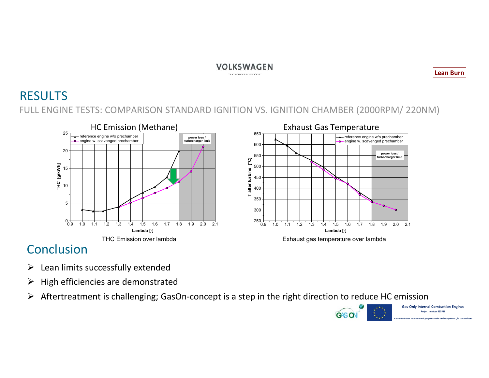### RESULTS FULL ENGINE TESTS: COMPARISON STANDARD IGNITION VS. IGNITION CHAMBER (2000RPM/ 220NM)





### Conclusion

- $\blacktriangleright$ Lean limits successfully extended
- $\blacktriangleright$ High efficiencies are demonstrated
- $\blacktriangleright$ Aftertreatment is challenging; GasOn‐concept is a step in the right direction to reduce HC emission



**Lean Burn**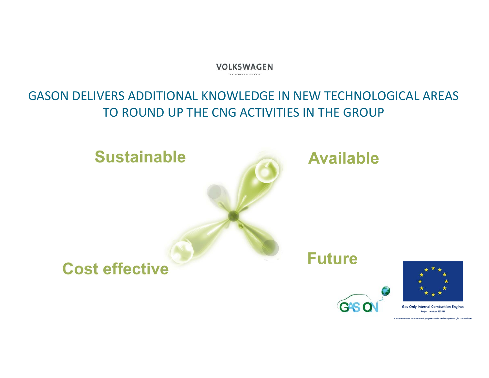### GASON DELIVERS ADDITIONAL KNOWLEDGE IN NEW TECHNOLOGICAL AREAS TO ROUND UP THE CNG ACTIVITIES IN THE GROUP



**Gas-Only Internal Combustion Engines** Project number 652816

**GAS** 

**H2020 GV-3-2014 Futur**